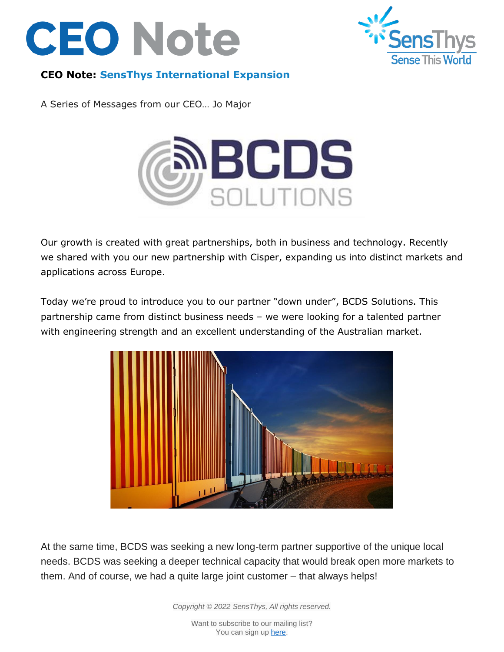



## **CEO Note: SensThys International Expansion**

A Series of Messages from our CEO… Jo Major



Our growth is created with great partnerships, both in business and technology. Recently we shared with you our new partnership with Cisper, expanding us into distinct markets and applications across Europe.

Today we're proud to introduce you to our partner "down under", BCDS Solutions. This partnership came from distinct business needs – we were looking for a talented partner with engineering strength and an excellent understanding of the Australian market.



At the same time, BCDS was seeking a new long-term partner supportive of the unique local needs. BCDS was seeking a deeper technical capacity that would break open more markets to them. And of course, we had a quite large joint customer – that always helps!

*Copyright © 2022 SensThys, All rights reserved.*